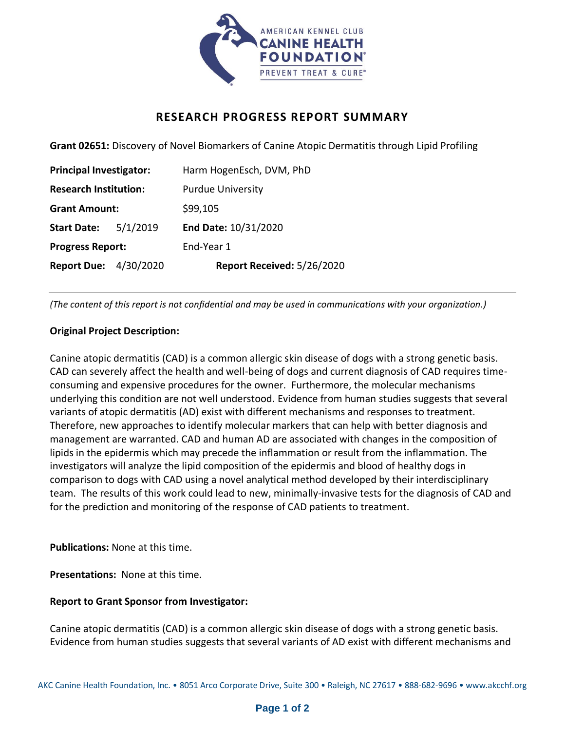

## **RESEARCH PROGRESS REPORT SUMMARY**

**Grant 02651:** Discovery of Novel Biomarkers of Canine Atopic Dermatitis through Lipid Profiling

| <b>Principal Investigator:</b> |          | Harm HogenEsch, DVM, PhD   |
|--------------------------------|----------|----------------------------|
| <b>Research Institution:</b>   |          | <b>Purdue University</b>   |
| <b>Grant Amount:</b>           |          | \$99,105                   |
| <b>Start Date:</b>             | 5/1/2019 | End Date: 10/31/2020       |
| <b>Progress Report:</b>        |          | End-Year 1                 |
| <b>Report Due: 4/30/2020</b>   |          | Report Received: 5/26/2020 |

*(The content of this report is not confidential and may be used in communications with your organization.)*

## **Original Project Description:**

Canine atopic dermatitis (CAD) is a common allergic skin disease of dogs with a strong genetic basis. CAD can severely affect the health and well-being of dogs and current diagnosis of CAD requires timeconsuming and expensive procedures for the owner. Furthermore, the molecular mechanisms underlying this condition are not well understood. Evidence from human studies suggests that several variants of atopic dermatitis (AD) exist with different mechanisms and responses to treatment. Therefore, new approaches to identify molecular markers that can help with better diagnosis and management are warranted. CAD and human AD are associated with changes in the composition of lipids in the epidermis which may precede the inflammation or result from the inflammation. The investigators will analyze the lipid composition of the epidermis and blood of healthy dogs in comparison to dogs with CAD using a novel analytical method developed by their interdisciplinary team. The results of this work could lead to new, minimally-invasive tests for the diagnosis of CAD and for the prediction and monitoring of the response of CAD patients to treatment.

**Publications:** None at this time.

**Presentations:** None at this time.

## **Report to Grant Sponsor from Investigator:**

Canine atopic dermatitis (CAD) is a common allergic skin disease of dogs with a strong genetic basis. Evidence from human studies suggests that several variants of AD exist with different mechanisms and